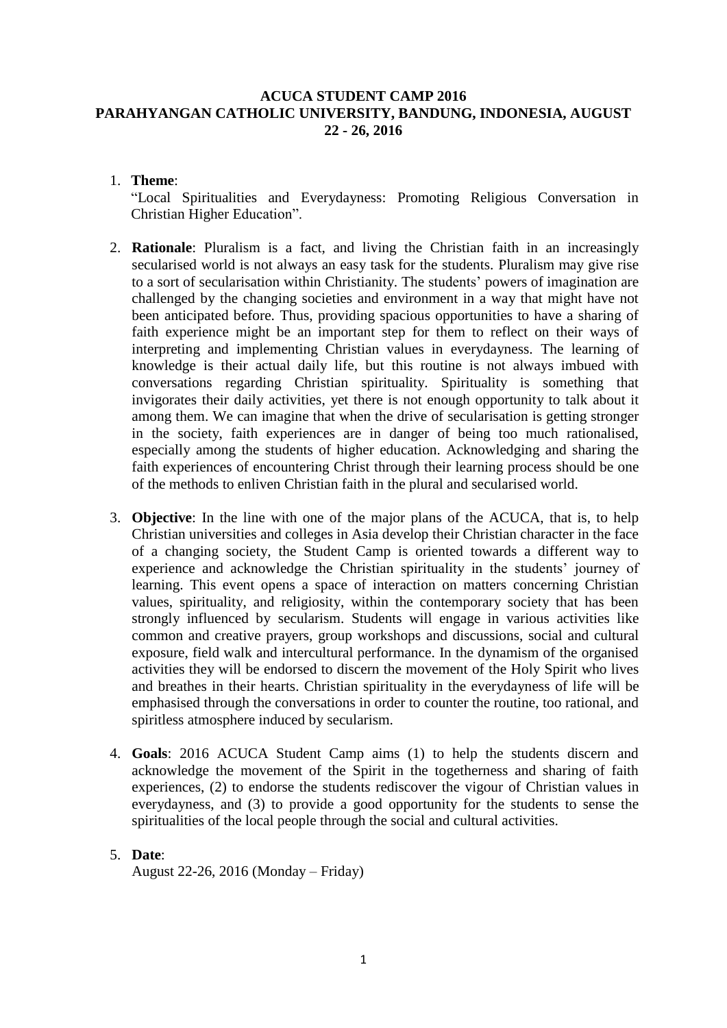### **ACUCA STUDENT CAMP 2016 PARAHYANGAN CATHOLIC UNIVERSITY, BANDUNG, INDONESIA, AUGUST 22 - 26, 2016**

#### 1. **Theme**:

"Local Spiritualities and Everydayness: Promoting Religious Conversation in Christian Higher Education".

- 2. **Rationale**: Pluralism is a fact, and living the Christian faith in an increasingly secularised world is not always an easy task for the students. Pluralism may give rise to a sort of secularisation within Christianity. The students' powers of imagination are challenged by the changing societies and environment in a way that might have not been anticipated before. Thus, providing spacious opportunities to have a sharing of faith experience might be an important step for them to reflect on their ways of interpreting and implementing Christian values in everydayness. The learning of knowledge is their actual daily life, but this routine is not always imbued with conversations regarding Christian spirituality. Spirituality is something that invigorates their daily activities, yet there is not enough opportunity to talk about it among them. We can imagine that when the drive of secularisation is getting stronger in the society, faith experiences are in danger of being too much rationalised, especially among the students of higher education. Acknowledging and sharing the faith experiences of encountering Christ through their learning process should be one of the methods to enliven Christian faith in the plural and secularised world.
- 3. **Objective**: In the line with one of the major plans of the ACUCA, that is, to help Christian universities and colleges in Asia develop their Christian character in the face of a changing society, the Student Camp is oriented towards a different way to experience and acknowledge the Christian spirituality in the students' journey of learning. This event opens a space of interaction on matters concerning Christian values, spirituality, and religiosity, within the contemporary society that has been strongly influenced by secularism. Students will engage in various activities like common and creative prayers, group workshops and discussions, social and cultural exposure, field walk and intercultural performance. In the dynamism of the organised activities they will be endorsed to discern the movement of the Holy Spirit who lives and breathes in their hearts. Christian spirituality in the everydayness of life will be emphasised through the conversations in order to counter the routine, too rational, and spiritless atmosphere induced by secularism.
- 4. **Goals**: 2016 ACUCA Student Camp aims (1) to help the students discern and acknowledge the movement of the Spirit in the togetherness and sharing of faith experiences, (2) to endorse the students rediscover the vigour of Christian values in everydayness, and (3) to provide a good opportunity for the students to sense the spiritualities of the local people through the social and cultural activities.

#### 5. **Date**:

August 22-26, 2016 (Monday – Friday)